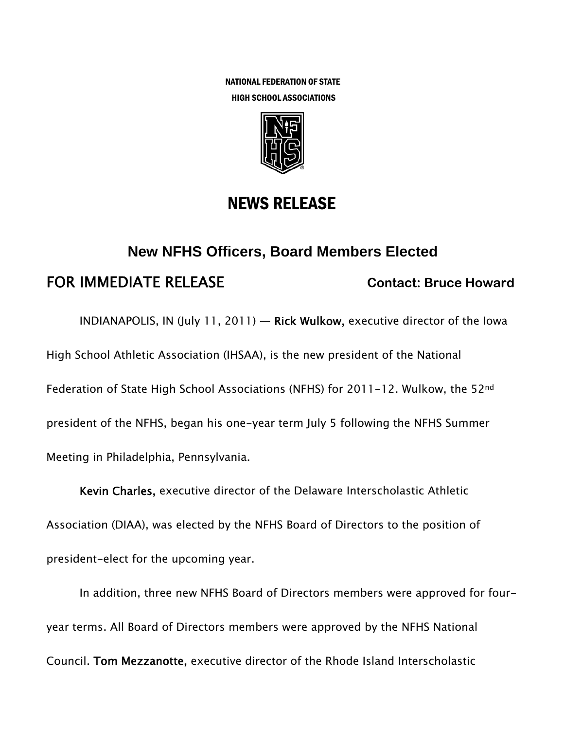NATIONAL FEDERATION OF STATE HIGH SCHOOL ASSOCIATIONS



## NEWS RELEASE

# **New NFHS Officers, Board Members Elected**  FOR IMMEDIATE RELEASE **Contact: Bruce Howard**

INDIANAPOLIS, IN (July 11, 2011) — Rick Wulkow, executive director of the Iowa High School Athletic Association (IHSAA), is the new president of the National Federation of State High School Associations (NFHS) for 2011-12. Wulkow, the 52<sup>nd</sup> president of the NFHS, began his one-year term July 5 following the NFHS Summer Meeting in Philadelphia, Pennsylvania.

Kevin Charles, executive director of the Delaware Interscholastic Athletic Association (DIAA), was elected by the NFHS Board of Directors to the position of president-elect for the upcoming year.

In addition, three new NFHS Board of Directors members were approved for fouryear terms. All Board of Directors members were approved by the NFHS National Council. Tom Mezzanotte, executive director of the Rhode Island Interscholastic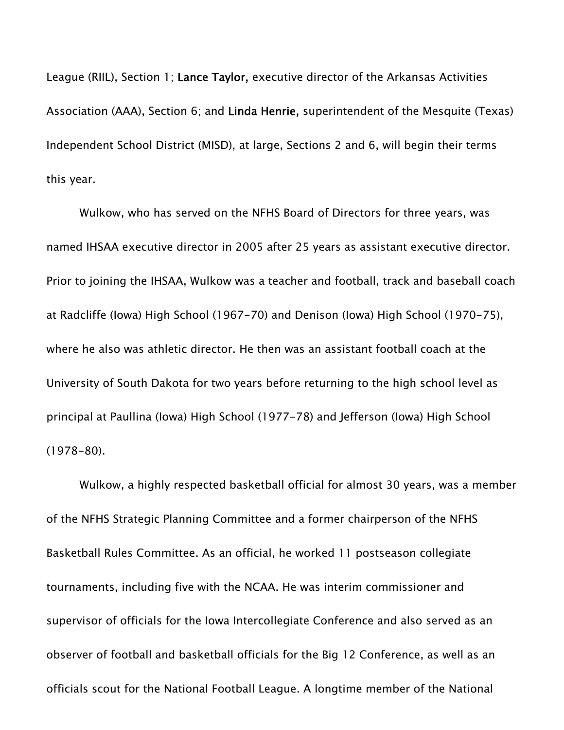League (RIIL), Section 1; Lance Taylor, executive director of the Arkansas Activities Association (AAA), Section 6; and Linda Henrie, superintendent of the Mesquite (Texas) Independent School District (MISD), at large, Sections 2 and 6, will begin their terms this year.

Wulkow, who has served on the NFHS Board of Directors for three years, was named IHSAA executive director in 2005 after 25 years as assistant executive director. Prior to joining the IHSAA, Wulkow was a teacher and football, track and baseball coach at Radcliffe (Iowa) High School (1967-70) and Denison (Iowa) High School (1970-75), where he also was athletic director. He then was an assistant football coach at the University of South Dakota for two years before returning to the high school level as principal at Paullina (Iowa) High School (1977-78) and Jefferson (Iowa) High School (1978-80).

Wulkow, a highly respected basketball official for almost 30 years, was a member of the NFHS Strategic Planning Committee and a former chairperson of the NFHS Basketball Rules Committee. As an official, he worked 11 postseason collegiate tournaments, including five with the NCAA. He was interim commissioner and supervisor of officials for the Iowa Intercollegiate Conference and also served as an observer of football and basketball officials for the Big 12 Conference, as well as an officials scout for the National Football League. A longtime member of the National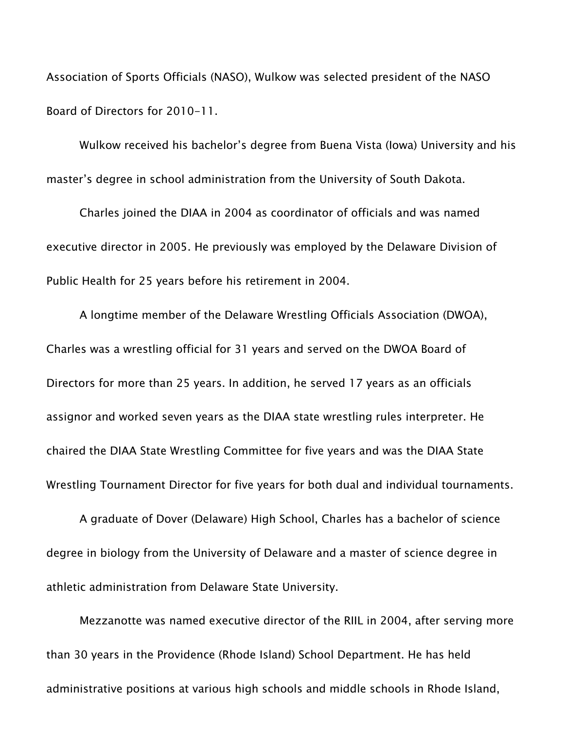Association of Sports Officials (NASO), Wulkow was selected president of the NASO Board of Directors for 2010-11.

Wulkow received his bachelor's degree from Buena Vista (Iowa) University and his master's degree in school administration from the University of South Dakota.

Charles joined the DIAA in 2004 as coordinator of officials and was named executive director in 2005. He previously was employed by the Delaware Division of Public Health for 25 years before his retirement in 2004.

A longtime member of the Delaware Wrestling Officials Association (DWOA), Charles was a wrestling official for 31 years and served on the DWOA Board of Directors for more than 25 years. In addition, he served 17 years as an officials assignor and worked seven years as the DIAA state wrestling rules interpreter. He chaired the DIAA State Wrestling Committee for five years and was the DIAA State Wrestling Tournament Director for five years for both dual and individual tournaments.

A graduate of Dover (Delaware) High School, Charles has a bachelor of science degree in biology from the University of Delaware and a master of science degree in athletic administration from Delaware State University.

Mezzanotte was named executive director of the RIIL in 2004, after serving more than 30 years in the Providence (Rhode Island) School Department. He has held administrative positions at various high schools and middle schools in Rhode Island,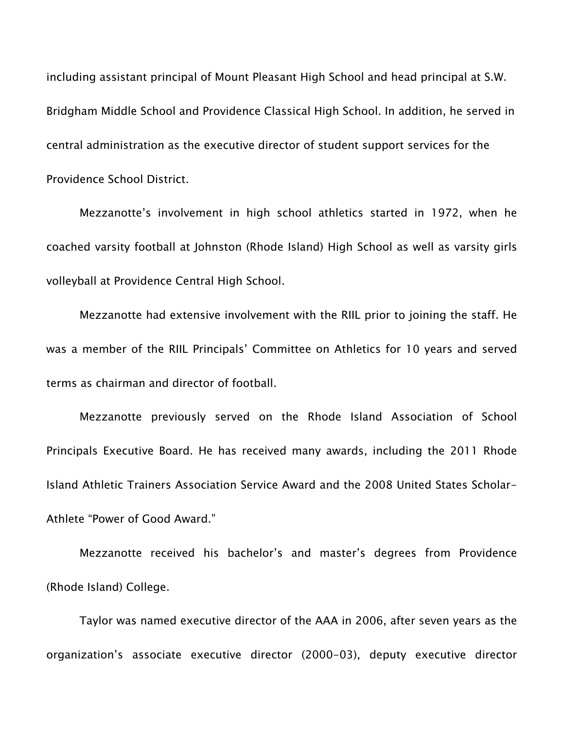including assistant principal of Mount Pleasant High School and head principal at S.W. Bridgham Middle School and Providence Classical High School. In addition, he served in central administration as the executive director of student support services for the Providence School District.

Mezzanotte's involvement in high school athletics started in 1972, when he coached varsity football at Johnston (Rhode Island) High School as well as varsity girls volleyball at Providence Central High School.

Mezzanotte had extensive involvement with the RIIL prior to joining the staff. He was a member of the RIIL Principals' Committee on Athletics for 10 years and served terms as chairman and director of football.

Mezzanotte previously served on the Rhode Island Association of School Principals Executive Board. He has received many awards, including the 2011 Rhode Island Athletic Trainers Association Service Award and the 2008 United States Scholar-Athlete "Power of Good Award."

Mezzanotte received his bachelor's and master's degrees from Providence (Rhode Island) College.

Taylor was named executive director of the AAA in 2006, after seven years as the organization's associate executive director (2000-03), deputy executive director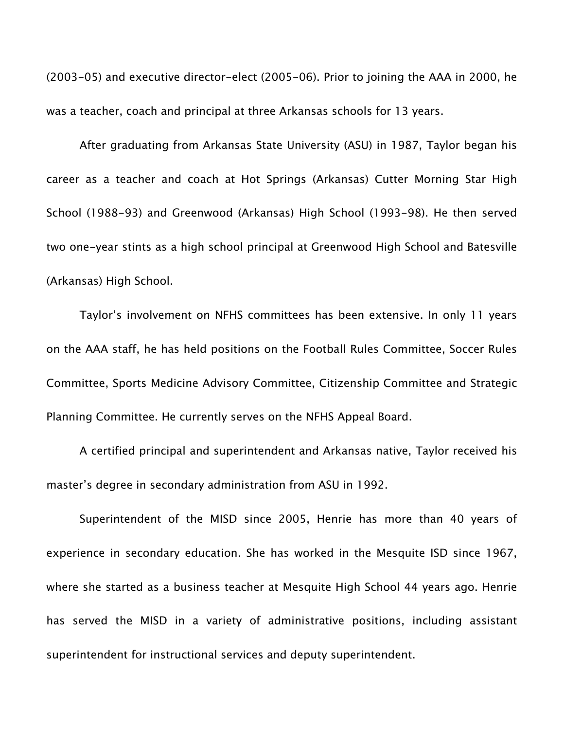(2003-05) and executive director-elect (2005-06). Prior to joining the AAA in 2000, he was a teacher, coach and principal at three Arkansas schools for 13 years.

After graduating from Arkansas State University (ASU) in 1987, Taylor began his career as a teacher and coach at Hot Springs (Arkansas) Cutter Morning Star High School (1988-93) and Greenwood (Arkansas) High School (1993-98). He then served two one-year stints as a high school principal at Greenwood High School and Batesville (Arkansas) High School.

Taylor's involvement on NFHS committees has been extensive. In only 11 years on the AAA staff, he has held positions on the Football Rules Committee, Soccer Rules Committee, Sports Medicine Advisory Committee, Citizenship Committee and Strategic Planning Committee. He currently serves on the NFHS Appeal Board.

A certified principal and superintendent and Arkansas native, Taylor received his master's degree in secondary administration from ASU in 1992.

Superintendent of the MISD since 2005, Henrie has more than 40 years of experience in secondary education. She has worked in the Mesquite ISD since 1967, where she started as a business teacher at Mesquite High School 44 years ago. Henrie has served the MISD in a variety of administrative positions, including assistant superintendent for instructional services and deputy superintendent.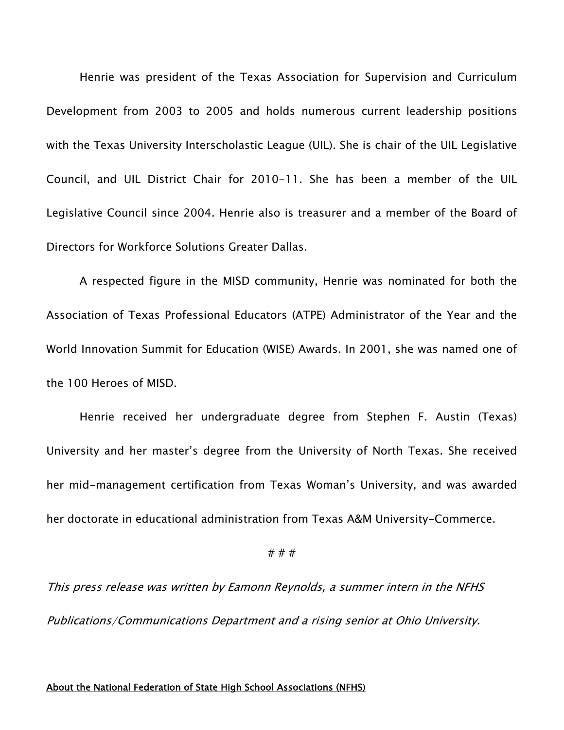Henrie was president of the Texas Association for Supervision and Curriculum Development from 2003 to 2005 and holds numerous current leadership positions with the Texas University Interscholastic League (UIL). She is chair of the UIL Legislative Council, and UIL District Chair for 2010-11. She has been a member of the UIL Legislative Council since 2004. Henrie also is treasurer and a member of the Board of Directors for Workforce Solutions Greater Dallas.

A respected figure in the MISD community, Henrie was nominated for both the Association of Texas Professional Educators (ATPE) Administrator of the Year and the World Innovation Summit for Education (WISE) Awards. In 2001, she was named one of the 100 Heroes of MISD.

Henrie received her undergraduate degree from Stephen F. Austin (Texas) University and her master's degree from the University of North Texas. She received her mid-management certification from Texas Woman's University, and was awarded her doctorate in educational administration from Texas A&M University-Commerce.

### # # #

This press release was written by Eamonn Reynolds, a summer intern in the NFHS Publications/Communications Department and a rising senior at Ohio University.

#### About the National Federation of State High School Associations (NFHS)